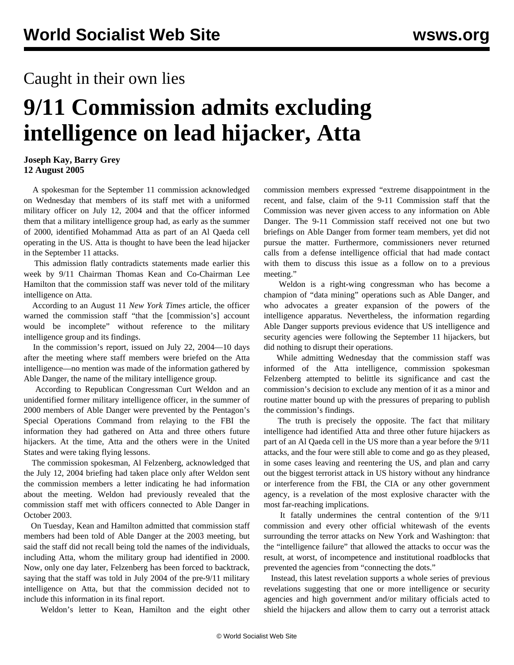## Caught in their own lies

## **9/11 Commission admits excluding intelligence on lead hijacker, Atta**

## **Joseph Kay, Barry Grey 12 August 2005**

 A spokesman for the September 11 commission acknowledged on Wednesday that members of its staff met with a uniformed military officer on July 12, 2004 and that the officer informed them that a military intelligence group had, as early as the summer of 2000, identified Mohammad Atta as part of an Al Qaeda cell operating in the US. Atta is thought to have been the lead hijacker in the September 11 attacks.

 This admission flatly contradicts statements made earlier this week by 9/11 Chairman Thomas Kean and Co-Chairman Lee Hamilton that the commission staff was never told of the military intelligence on Atta.

 According to an August 11 *New York Times* article, the officer warned the commission staff "that the [commission's] account would be incomplete" without reference to the military intelligence group and its findings.

 In the commission's report, issued on July 22, 2004—10 days after the meeting where staff members were briefed on the Atta intelligence—no mention was made of the information gathered by Able Danger, the name of the military intelligence group.

 According to Republican Congressman Curt Weldon and an unidentified former military intelligence officer, in the summer of 2000 members of Able Danger were prevented by the Pentagon's Special Operations Command from relaying to the FBI the information they had gathered on Atta and three others future hijackers. At the time, Atta and the others were in the United States and were taking flying lessons.

 The commission spokesman, Al Felzenberg, acknowledged that the July 12, 2004 briefing had taken place only after Weldon sent the commission members a letter indicating he had information about the meeting. Weldon had previously revealed that the commission staff met with officers connected to Able Danger in October 2003.

 On Tuesday, Kean and Hamilton admitted that commission staff members had been told of Able Danger at the 2003 meeting, but said the staff did not recall being told the names of the individuals, including Atta, whom the military group had identified in 2000. Now, only one day later, Felzenberg has been forced to backtrack, saying that the staff was told in July 2004 of the pre-9/11 military intelligence on Atta, but that the commission decided not to include this information in its final report.

Weldon's letter to Kean, Hamilton and the eight other

commission members expressed "extreme disappointment in the recent, and false, claim of the 9-11 Commission staff that the Commission was never given access to any information on Able Danger. The 9-11 Commission staff received not one but two briefings on Able Danger from former team members, yet did not pursue the matter. Furthermore, commissioners never returned calls from a defense intelligence official that had made contact with them to discuss this issue as a follow on to a previous meeting."

 Weldon is a right-wing congressman who has become a champion of "data mining" operations such as Able Danger, and who advocates a greater expansion of the powers of the intelligence apparatus. Nevertheless, the information regarding Able Danger supports previous evidence that US intelligence and security agencies were following the September 11 hijackers, but did nothing to disrupt their operations.

 While admitting Wednesday that the commission staff was informed of the Atta intelligence, commission spokesman Felzenberg attempted to belittle its significance and cast the commission's decision to exclude any mention of it as a minor and routine matter bound up with the pressures of preparing to publish the commission's findings.

 The truth is precisely the opposite. The fact that military intelligence had identified Atta and three other future hijackers as part of an Al Qaeda cell in the US more than a year before the 9/11 attacks, and the four were still able to come and go as they pleased, in some cases leaving and reentering the US, and plan and carry out the biggest terrorist attack in US history without any hindrance or interference from the FBI, the CIA or any other government agency, is a revelation of the most explosive character with the most far-reaching implications.

 It fatally undermines the central contention of the 9/11 commission and every other official whitewash of the events surrounding the terror attacks on New York and Washington: that the "intelligence failure" that allowed the attacks to occur was the result, at worst, of incompetence and institutional roadblocks that prevented the agencies from "connecting the dots."

 Instead, this latest revelation supports a whole series of previous revelations suggesting that one or more intelligence or security agencies and high government and/or military officials acted to shield the hijackers and allow them to carry out a terrorist attack